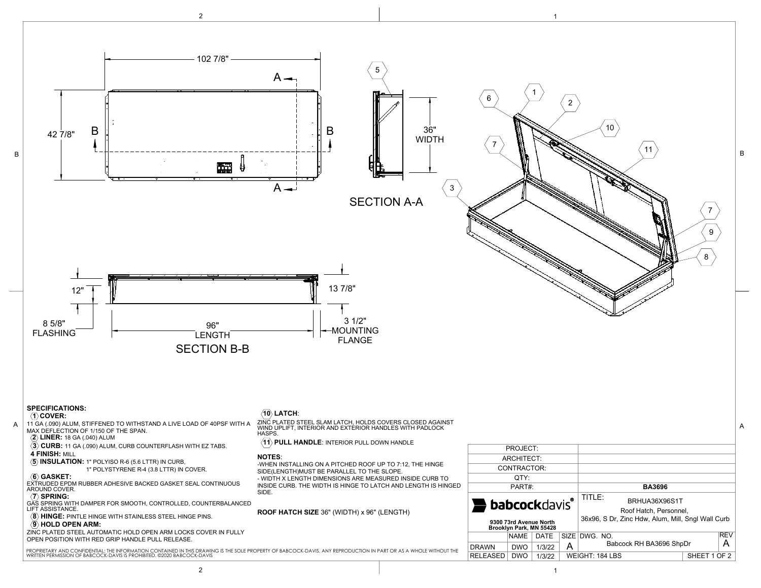